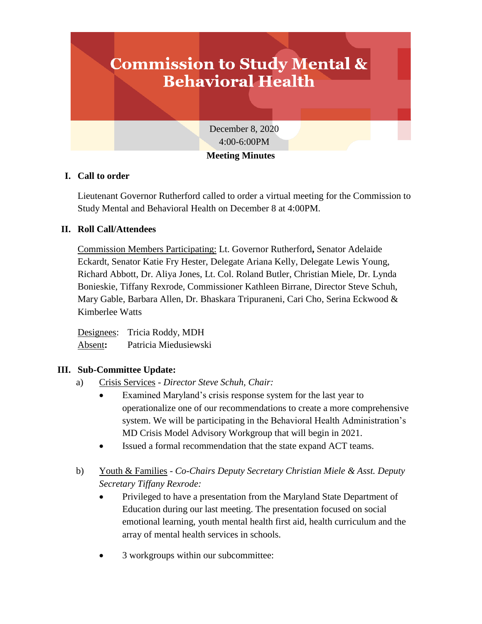# **Commission to Study Mental & Behavioral Health** December 8, 2020 4:00-6:00PM **Meeting Minutes**

# **I. Call to order**

Lieutenant Governor Rutherford called to order a virtual meeting for the Commission to Study Mental and Behavioral Health on December 8 at 4:00PM.

# **II. Roll Call/Attendees**

Commission Members Participating: Lt. Governor Rutherford**,** Senator Adelaide Eckardt, Senator Katie Fry Hester, Delegate Ariana Kelly, Delegate Lewis Young, Richard Abbott, Dr. Aliya Jones, Lt. Col. Roland Butler, Christian Miele, Dr. Lynda Bonieskie, Tiffany Rexrode, Commissioner Kathleen Birrane, Director Steve Schuh, Mary Gable, Barbara Allen, Dr. Bhaskara Tripuraneni, Cari Cho, Serina Eckwood & Kimberlee Watts

Designees: Tricia Roddy, MDH Absent**:** Patricia Miedusiewski

### **III. Sub-Committee Update:**

- a) Crisis Services *Director Steve Schuh, Chair:*
	- Examined Maryland's crisis response system for the last year to operationalize one of our recommendations to create a more comprehensive system. We will be participating in the Behavioral Health Administration's MD Crisis Model Advisory Workgroup that will begin in 2021.
	- Issued a formal recommendation that the state expand ACT teams.
- b) Youth & Families *Co-Chairs Deputy Secretary Christian Miele & Asst. Deputy Secretary Tiffany Rexrode:*
	- Privileged to have a presentation from the Maryland State Department of Education during our last meeting. The presentation focused on social emotional learning, youth mental health first aid, health curriculum and the array of mental health services in schools.
	- 3 workgroups within our subcommittee: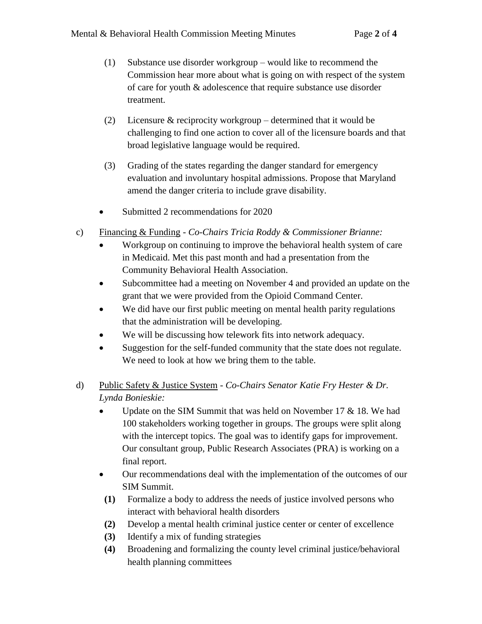- (1) Substance use disorder workgroup would like to recommend the Commission hear more about what is going on with respect of the system of care for youth & adolescence that require substance use disorder treatment.
- (2) Licensure & reciprocity workgroup determined that it would be challenging to find one action to cover all of the licensure boards and that broad legislative language would be required.
- (3) Grading of the states regarding the danger standard for emergency evaluation and involuntary hospital admissions. Propose that Maryland amend the danger criteria to include grave disability.
- Submitted 2 recommendations for 2020
- c) Financing & Funding *Co-Chairs Tricia Roddy & Commissioner Brianne:*
	- Workgroup on continuing to improve the behavioral health system of care in Medicaid. Met this past month and had a presentation from the Community Behavioral Health Association.
	- Subcommittee had a meeting on November 4 and provided an update on the grant that we were provided from the Opioid Command Center.
	- We did have our first public meeting on mental health parity regulations that the administration will be developing.
	- We will be discussing how telework fits into network adequacy.
	- Suggestion for the self-funded community that the state does not regulate. We need to look at how we bring them to the table.
- d) Public Safety & Justice System *Co-Chairs Senator Katie Fry Hester & Dr. Lynda Bonieskie:*
	- Update on the SIM Summit that was held on November 17 & 18. We had 100 stakeholders working together in groups. The groups were split along with the intercept topics. The goal was to identify gaps for improvement. Our consultant group, Public Research Associates (PRA) is working on a final report.
	- Our recommendations deal with the implementation of the outcomes of our SIM Summit.
	- **(1)** Formalize a body to address the needs of justice involved persons who interact with behavioral health disorders
	- **(2)** Develop a mental health criminal justice center or center of excellence
	- **(3)** Identify a mix of funding strategies
	- **(4)** Broadening and formalizing the county level criminal justice/behavioral health planning committees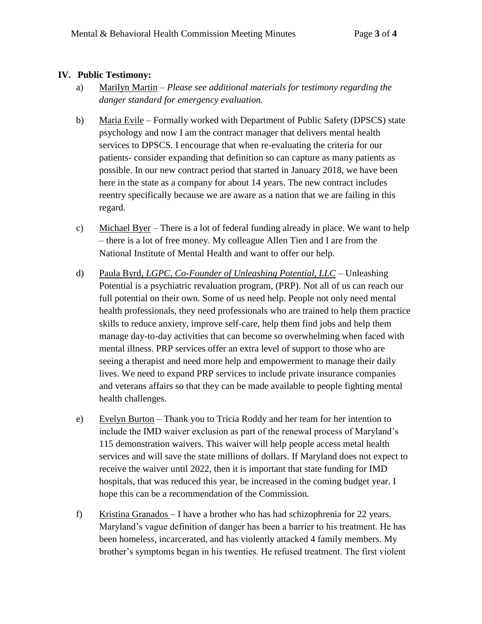#### **IV. Public Testimony:**

- a) Marilyn Martin *Please see additional materials for testimony regarding the danger standard for emergency evaluation.*
- b) Maria Evile Formally worked with Department of Public Safety (DPSCS) state psychology and now I am the contract manager that delivers mental health services to DPSCS. I encourage that when re-evaluating the criteria for our patients- consider expanding that definition so can capture as many patients as possible. In our new contract period that started in January 2018, we have been here in the state as a company for about 14 years. The new contract includes reentry specifically because we are aware as a nation that we are failing in this regard.
- c) Michael Byer There is a lot of federal funding already in place. We want to help – there is a lot of free money. My colleague Allen Tien and I are from the National Institute of Mental Health and want to offer our help.
- d) Paula Byrd*, LGPC, Co-Founder of Unleashing Potential, LLC –* Unleashing Potential is a psychiatric revaluation program, (PRP). Not all of us can reach our full potential on their own. Some of us need help. People not only need mental health professionals, they need professionals who are trained to help them practice skills to reduce anxiety, improve self-care, help them find jobs and help them manage day-to-day activities that can become so overwhelming when faced with mental illness. PRP services offer an extra level of support to those who are seeing a therapist and need more help and empowerment to manage their daily lives. We need to expand PRP services to include private insurance companies and veterans affairs so that they can be made available to people fighting mental health challenges.
- e) Evelyn Burton Thank you to Tricia Roddy and her team for her intention to include the IMD waiver exclusion as part of the renewal process of Maryland's 115 demonstration waivers. This waiver will help people access metal health services and will save the state millions of dollars. If Maryland does not expect to receive the waiver until 2022, then it is important that state funding for IMD hospitals, that was reduced this year, be increased in the coming budget year. I hope this can be a recommendation of the Commission.
- f) Kristina Granados I have a brother who has had schizophrenia for 22 years. Maryland's vague definition of danger has been a barrier to his treatment. He has been homeless, incarcerated, and has violently attacked 4 family members. My brother's symptoms began in his twenties. He refused treatment. The first violent